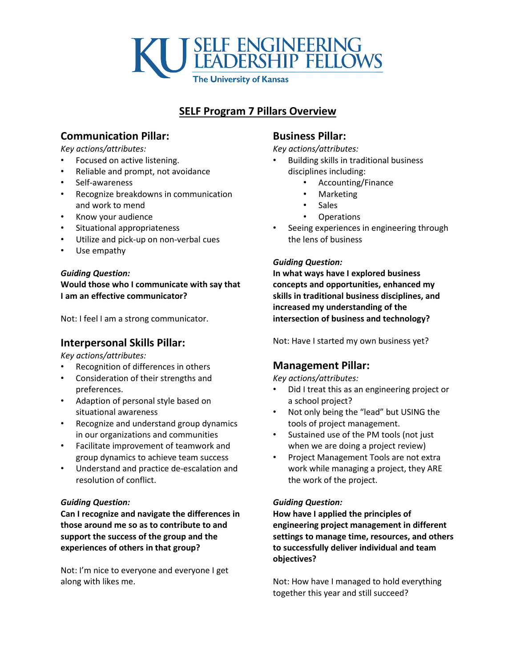

# **SELF Program 7 Pillars Overview**

## **Communication Pillar:**

*Key actions/attributes:*

- Focused on active listening.
- Reliable and prompt, not avoidance
- Self-awareness
- Recognize breakdowns in communication and work to mend
- Know your audience
- Situational appropriateness
- Utilize and pick-up on non-verbal cues
- Use empathy

#### *Guiding Question:*

**Would those who I communicate with say that I am an effective communicator?** 

Not: I feel I am a strong communicator.

## **Interpersonal Skills Pillar:**

*Key actions/attributes:*

- Recognition of differences in others
- Consideration of their strengths and preferences.
- Adaption of personal style based on situational awareness
- Recognize and understand group dynamics in our organizations and communities
- Facilitate improvement of teamwork and group dynamics to achieve team success
- Understand and practice de-escalation and resolution of conflict.

## *Guiding Question:*

**Can I recognize and navigate the differences in those around me so as to contribute to and support the success of the group and the experiences of others in that group?**

Not: I'm nice to everyone and everyone I get along with likes me.

## **Business Pillar:**

*Key actions/attributes:*

- Building skills in traditional business disciplines including:
	- Accounting/Finance
	- Marketing
	- Sales
	- Operations
- Seeing experiences in engineering through the lens of business

#### *Guiding Question:*

**In what ways have I explored business concepts and opportunities, enhanced my skills in traditional business disciplines, and increased my understanding of the intersection of business and technology?**

Not: Have I started my own business yet?

## **Management Pillar:**

*Key actions/attributes:*

- Did I treat this as an engineering project or a school project?
- Not only being the "lead" but USING the tools of project management.
- Sustained use of the PM tools (not just when we are doing a project review)
- Project Management Tools are not extra work while managing a project, they ARE the work of the project.

## *Guiding Question:*

**How have I applied the principles of engineering project management in different settings to manage time, resources, and others to successfully deliver individual and team objectives?**

Not: How have I managed to hold everything together this year and still succeed?